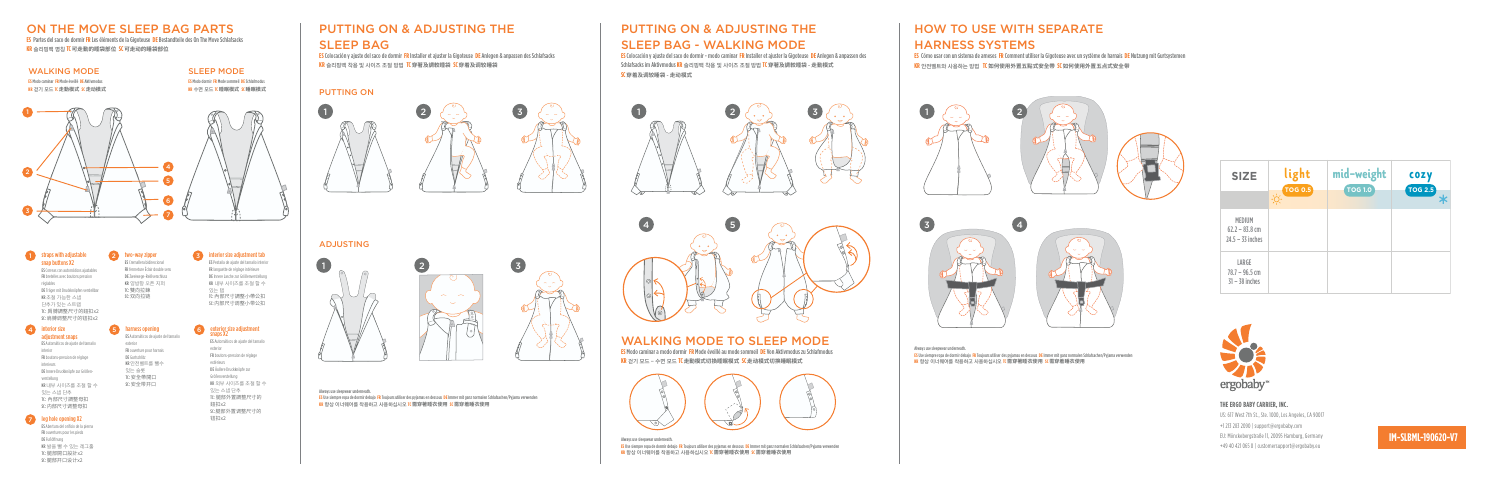#### ON THE MOVE SLEEP BAG PARTS

**ES** Partes del saco de dormir **FR** Les éléments de la Gigoteuse **DE** Bestandteile des On The Move Schlafsacks **KR** 슬리핑백 명칭 **TC可走動的睡袋部位 SC可走动的睡袋部位**



**KR** 슬리핑백 착용 및 사이즈 조절 방법 **TC穿著及調較睡袋 SC穿着及调较睡袋**

#### PUTTING ON & ADJUSTING THE SLEEP BAG - WALKING MODE

**ES** Colocación y ajuste del saco de dormir - modo caminar **FR** Installer et ajuster la Gigoteuse **DE** Anlegen & anpassen des Schlafsacks im Aktivmodus **KR** 슬리핑백 착용 및 사이즈 조절 방법 **TC穿著及調較睡袋 - 走動模式 SC穿着及调较睡袋 - 走动模式**

#### WALKING MODE TO SLEEP MODE

**ES** Modo caminar a modo dormir **FR** Mode éveillé au mode sommeil **DE** Von Aktivmodus zu Schlafmodus **KR** 걷기 모드 - 수면 모드 **TC走動模式切換睡眠模式 SC走动模式切换睡眠模式**











1

#### PUTTING ON

# 1  $\left(2, \left(\begin{array}{cc} 1 \end{array}\right), \left(\begin{array}{cc} 2 \end{array}\right), \left(\begin{array}{cc} 3 \end{array}\right), \left(\begin{array}{cc} 4 \end{array}\right), \left(\begin{array}{cc} 1 \end{array}\right), \left(\begin{array}{cc} 1 \end{array}\right), \left(\begin{array}{cc} 1 \end{array}\right), \left(\begin{array}{cc} 1 \end{array}\right), \left(\begin{array}{cc} 1 \end{array}\right), \left(\begin{array}{cc} 1 \end{array}\right), \left(\begin{array}{cc} 1 \end{array}\right), \left(\begin{array}{cc} 1 \end{array$



#### WALKING MODE

**ES** Modo caminar **FR** Mode éveillé **DE** Aktivmodus **KR** 걷기 모드 **TC走動模式 SC走动模式**

#### SLEEP MODE

**ES** Modo dormir **FR** Mode sommeil **DE** Schlafmodus **KR** 수면 모드 **TC睡眠模式 SC睡眠模式**





Always use sleepwear underneath. **ES** Use siempre ropa de dormir debajo **FR** Toujours utiliser des pyjamas en dessous **DE** Immer mit ganz normalen Schlafsachen/Pyjama verwenden **KR** 항상 이너웨어를 착용하고 사용하십시오 **TC需穿著睡衣使用 SC需穿着睡衣使用**

> Always use sleepwear underneath. **ES** Use siempre ropa de dormir debajo **FR** Toujours utiliser des pyjamas en dessous **DE** Immer mit ganz normalen Schlafsachen/Pyjama verwenden **KR** 항상 이너웨어를 착용하고 사용하십시오 **TC需穿著睡衣使用 SC需穿着睡衣使用**

6 7 5 4

#### **1** straps with adjustable p buttons X2



ES Correas con automáticos ajustables FR bretelles avec boutons pression réglables DE Träger mit Druckknöpfen verstellbar KR 조절 가능한 스냅 단추가 있는 스트랩 TC: 肩膊調整尺寸的鈕扣x2 SC:肩膊调整尺寸的钮扣x2

#### 4 **Interior size** adjustment snaps

#### 7 leg hole opening X2

| <b>SIZE</b>                                      | light<br><b>TOG 0.5</b> | mid-weight<br><b>TOG 1.0</b> | <b>COZY</b><br><b>TOG 2.5</b> |
|--------------------------------------------------|-------------------------|------------------------------|-------------------------------|
|                                                  | - 6                     |                              |                               |
| MEDIUM<br>$62.2 - 83.8$ cm<br>$24.5 - 33$ inches |                         |                              |                               |
| LARGE<br>$78.7 - 96.5$ cm<br>$31 - 38$ inches    |                         |                              |                               |



ES Automáticos de ajuste del tamaño interior FR boutons-pression de réglage interieurs DE Innere Druckknöpfe zur Größenverstellung KR 내부 사이즈를 조절 할 수 있는 스냅 단추 TC: 內部尺寸調整母扣 SC:内部尺寸调整母扣

#### 5 6 harness opening exterior size adjustment snaps X2

#### 2 straps with adjustable 3 two-way zipper ES Cremallera bidireccional

ES Abertura del orificio de la pierna FR ouvertures pour les pieds DE Fußöffnung KR 발을 뺄 수 있는 레그홀 TC: 腿部開口設計x2 SC:腿部开口设计x2

ES Automáticos de ajuste del tamaño

exterior FR ouverture pour harnais DE Gurtschlitz KR 안전벨트를 뺄수 있는 슬롯 TC: 安全帶開口 SC:安全带开口

ES Automáticos de ajuste del tamaño exterior FR boutons-pression de réglage extérieurs DE Äußere Druckknöpfe zur Größenverstellung KR 외부 사이즈를 조절 할 수 있는 스냅 단추 TC: 腿部外置調整尺寸的 鈕扣x2 SC:腿部外置调整尺寸的 钮扣x2

FR fermeture Éclair double sens DE Zweiwege-Reißverschluss KR 양방향 오픈 지퍼 TC: 雙向拉鍊 SC:双向拉链

interior size adjustment tab

ES Pestaña de ajuste del tamaño interior FR languette de réglage intérieure DE Innere Lasche zur Größenverstellung KR 내부 사이즈를 조절 할 수 있는 탭 TC: 內部尺寸調整小帶公扣 SC:内部尺寸调整小带公扣

### HOW TO USE WITH SEPARATE HARNESS SYSTEMS

**ES** Cómo usar con un sistema de arneses **FR** Comment utiliser la Gigoteuse avec un système de harnais **DE** Nutzung mit Gurtsystemen **KR** 안전벨트와 사용하는 방법 **TC 如何使用外置五點式安全帶 SC如何使用外置五点式安全带**



Always use sleepwear underneath.

**ES** Use siempre ropa de dormir debajo **FR** Toujours utiliser des pyjamas en dessous **DE** Immer mit ganz normalen Schlafsachen/Pyjama verwenden **KR** 항상 이너웨어를 착용하고 사용하십시오 **TC需穿著睡衣使用 SC需穿着睡衣使用**

#### **IM-SLBML-190620-V7**

#### **THE ERGO BABY CARRIER, INC.**

US: 617 West 7th St., Ste. 1000, Los Angeles, CA 90017 +1 213 283 2090 | support@ergobaby.com EU: Mönckebergstraße 11, 20095 Hamburg, Germany +49 40 421 065 0 | customersupport@ergobaby.eu